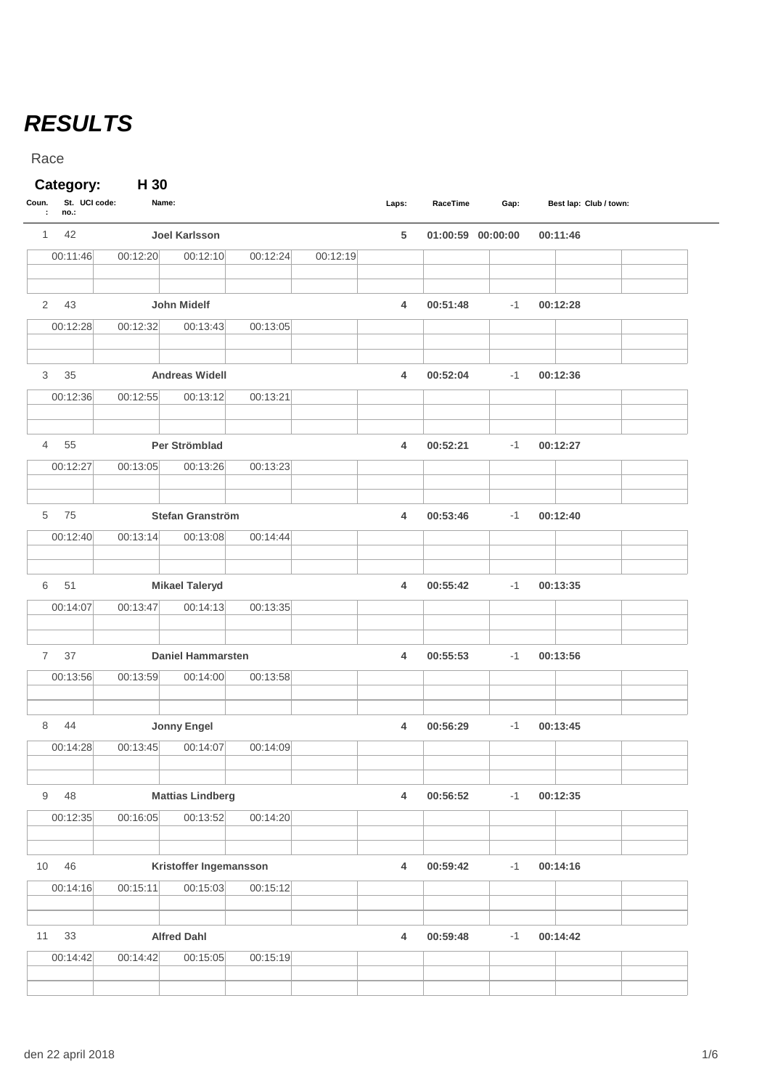## *RESULTS*

Race

## **Category: H 30**

| Coun.<br>$\sim$ | St. UCI code:<br>no.: | Name:    |                          |          |          | Laps:          | RaceTime | Gap:              | Best lap: Club / town: |  |
|-----------------|-----------------------|----------|--------------------------|----------|----------|----------------|----------|-------------------|------------------------|--|
| $\mathbf{1}$    | 42                    |          | <b>Joel Karlsson</b>     |          |          | 5              |          | 01:00:59 00:00:00 | 00:11:46               |  |
|                 | 00:11:46              | 00:12:20 | 00:12:10                 | 00:12:24 | 00:12:19 |                |          |                   |                        |  |
| $\overline{2}$  | 43                    |          | John Midelf              |          |          | 4              | 00:51:48 | $-1$              | 00:12:28               |  |
|                 | 00:12:28              | 00:12:32 | 00:13:43                 | 00:13:05 |          |                |          |                   |                        |  |
| 3               | 35                    |          | <b>Andreas Widell</b>    |          |          | 4              | 00:52:04 | $-1$              | 00:12:36               |  |
|                 | 00:12:36              | 00:12:55 | 00:13:12                 | 00:13:21 |          |                |          |                   |                        |  |
| $\overline{4}$  | 55                    |          | Per Strömblad            |          |          | 4              | 00:52:21 | $-1$              | 00:12:27               |  |
|                 | 00:12:27              | 00:13:05 | 00:13:26                 | 00:13:23 |          |                |          |                   |                        |  |
| 5               | 75                    |          | Stefan Granström         |          |          | 4              | 00:53:46 | $-1$              | 00:12:40               |  |
|                 | 00:12:40              | 00:13:14 | 00:13:08                 | 00:14:44 |          |                |          |                   |                        |  |
| 6               | 51                    |          | <b>Mikael Taleryd</b>    |          |          | 4              | 00:55:42 | $-1$              | 00:13:35               |  |
|                 | 00:14:07              | 00:13:47 | 00:14:13                 | 00:13:35 |          |                |          |                   |                        |  |
| $\overline{7}$  | 37                    |          | <b>Daniel Hammarsten</b> |          |          | $\overline{4}$ | 00:55:53 | $-1$              | 00:13:56               |  |
|                 | 00:13:56              | 00:13:59 | 00:14:00                 | 00:13:58 |          |                |          |                   |                        |  |
| 8               | 44                    |          | <b>Jonny Engel</b>       |          |          | 4              | 00:56:29 | $-1$              | 00:13:45               |  |
|                 | 00:14:28              | 00:13:45 | 00:14:07                 | 00:14:09 |          |                |          |                   |                        |  |
| 9               | 48                    |          | <b>Mattias Lindberg</b>  |          |          | 4              | 00:56:52 | $-1$              | 00:12:35               |  |
|                 | 00:12:35              | 00:16:05 | 00:13:52                 | 00:14:20 |          |                |          |                   |                        |  |
| 10              | 46                    |          | Kristoffer Ingemansson   |          |          | $\overline{4}$ | 00:59:42 | $-1$              | 00:14:16               |  |
|                 | 00:14:16              | 00:15:11 | 00:15:03                 | 00:15:12 |          |                |          |                   |                        |  |
| 11              | 33                    |          | <b>Alfred Dahl</b>       |          |          | $\overline{4}$ | 00:59:48 | $-1$              | 00:14:42               |  |
|                 | 00:14:42              | 00:14:42 | 00:15:05                 | 00:15:19 |          |                |          |                   |                        |  |
|                 |                       |          |                          |          |          |                |          |                   |                        |  |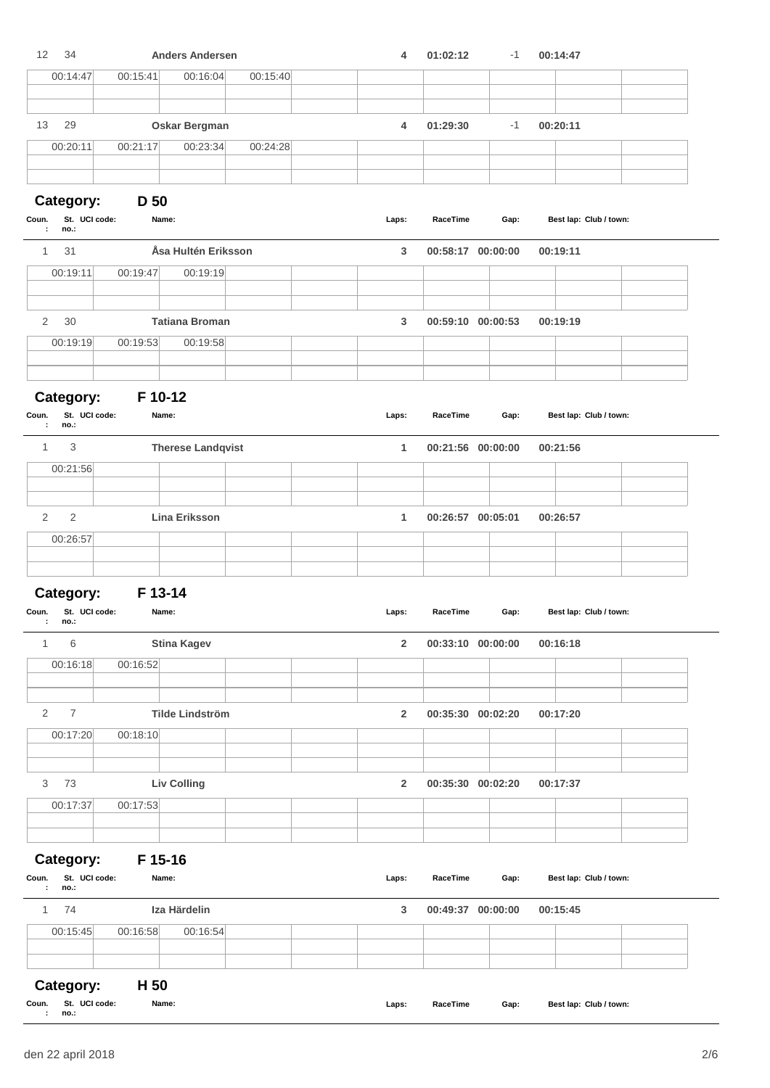| 12<br>34                                         |                 | <b>Anders Andersen</b>   |          | 4              | 01:02:12          | $-1$ | 00:14:47               |  |
|--------------------------------------------------|-----------------|--------------------------|----------|----------------|-------------------|------|------------------------|--|
| 00:14:47                                         | 00:15:41        | 00:16:04                 | 00:15:40 |                |                   |      |                        |  |
| 29<br>13                                         |                 | Oskar Bergman            |          | 4              | 01:29:30          | $-1$ | 00:20:11               |  |
| 00:20:11                                         | 00:21:17        | 00:23:34                 | 00:24:28 |                |                   |      |                        |  |
| Category:                                        | D <sub>50</sub> |                          |          |                |                   |      |                        |  |
| St. UCI code:<br>Coun.<br>no.:<br>÷              |                 | Name:                    |          | Laps:          | RaceTime          | Gap: | Best lap: Club / town: |  |
| 31<br>$\mathbf{1}$                               |                 | Åsa Hultén Eriksson      |          | 3              | 00:58:17 00:00:00 |      | 00:19:11               |  |
| 00:19:11                                         | 00:19:47        | 00:19:19                 |          |                |                   |      |                        |  |
| $\overline{2}$<br>30                             |                 | <b>Tatiana Broman</b>    |          | 3              | 00:59:10 00:00:53 |      | 00:19:19               |  |
| 00:19:19                                         | 00:19:53        | 00:19:58                 |          |                |                   |      |                        |  |
| Category:                                        | F 10-12         |                          |          |                |                   |      |                        |  |
| St. UCI code:<br>Coun.<br>÷<br>no.:              |                 | Name:                    |          | Laps:          | RaceTime          | Gap: | Best lap: Club / town: |  |
| 3<br>$\mathbf{1}$                                |                 | <b>Therese Landqvist</b> |          | 1              | 00:21:56 00:00:00 |      | 00:21:56               |  |
| 00:21:56                                         |                 |                          |          |                |                   |      |                        |  |
| $\overline{2}$<br>$\mathbf{2}$                   |                 | Lina Eriksson            |          | 1              | 00:26:57 00:05:01 |      | 00:26:57               |  |
| 00:26:57                                         |                 |                          |          |                |                   |      |                        |  |
| Category:                                        | F 13-14         |                          |          |                |                   |      |                        |  |
| St. UCI code:<br>Coun.<br>$\cdot$<br>no.:        |                 | Name:                    |          | Laps:          | RaceTime          | Gap: | Best lap: Club / town: |  |
| 6<br>$\mathbf{1}$                                |                 | <b>Stina Kagev</b>       |          | $\overline{2}$ | 00:33:10 00:00:00 |      | 00:16:18               |  |
| 00:16:18                                         | 00:16:52        |                          |          |                |                   |      |                        |  |
| $\overline{2}$<br>$\overline{7}$                 |                 | <b>Tilde Lindström</b>   |          | $\overline{2}$ | 00:35:30 00:02:20 |      | 00:17:20               |  |
| 00:17:20                                         | 00:18:10        |                          |          |                |                   |      |                        |  |
| 3<br>73                                          |                 | <b>Liv Colling</b>       |          | $\overline{2}$ | 00:35:30 00:02:20 |      | 00:17:37               |  |
| 00:17:37                                         | 00:17:53        |                          |          |                |                   |      |                        |  |
|                                                  |                 |                          |          |                |                   |      |                        |  |
| Category:<br>St. UCI code:<br>Coun.<br>no.:<br>÷ | F 15-16         | Name:                    |          | Laps:          | RaceTime          | Gap: | Best lap: Club / town: |  |
| 1<br>74                                          |                 | Iza Härdelin             |          | 3              | 00:49:37 00:00:00 |      | 00:15:45               |  |
| 00:15:45                                         | 00:16:58        | 00:16:54                 |          |                |                   |      |                        |  |
|                                                  |                 |                          |          |                |                   |      |                        |  |
| Category:<br>St. UCI code:<br>Coun.              | H <sub>50</sub> | Name:                    |          | Laps:          | RaceTime          | Gap: | Best lap: Club / town: |  |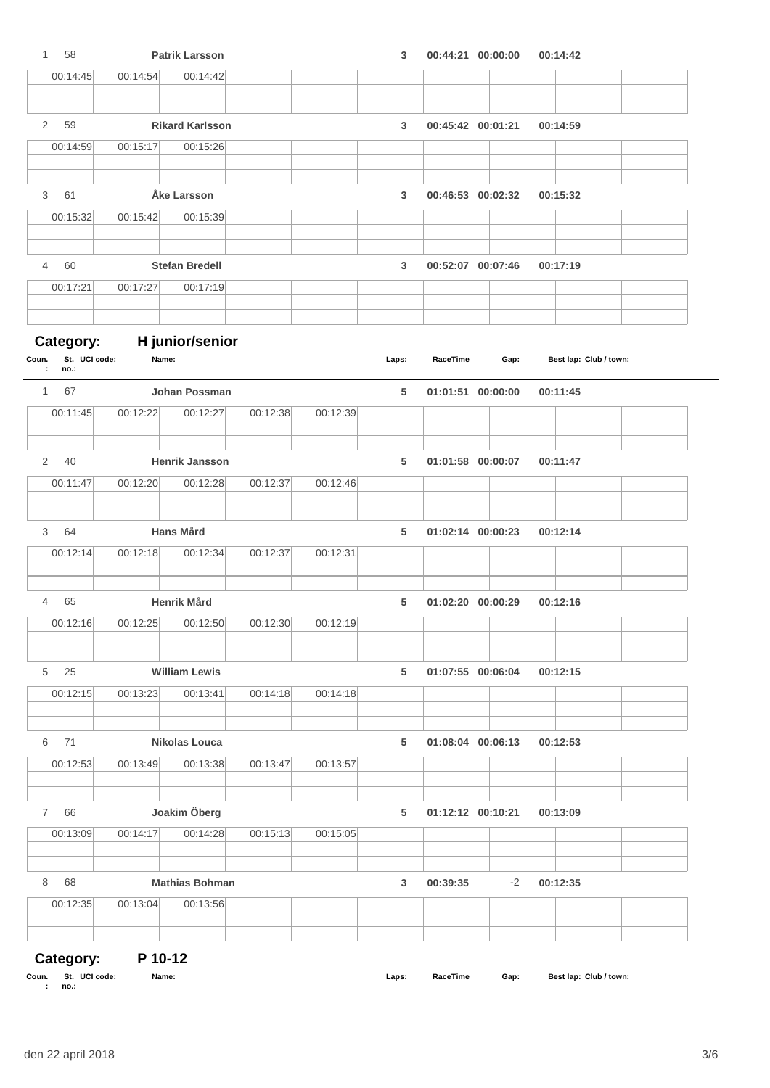| 58<br>$\mathbf{1}$             |          | <b>Patrik Larsson</b>          |          |          | 3     |                   | 00:44:21 00:00:00 | 00:14:42               |  |
|--------------------------------|----------|--------------------------------|----------|----------|-------|-------------------|-------------------|------------------------|--|
| 00:14:45                       | 00:14:54 | 00:14:42                       |          |          |       |                   |                   |                        |  |
|                                |          |                                |          |          |       |                   |                   |                        |  |
| 2 59                           |          | <b>Rikard Karlsson</b>         |          |          | 3     |                   | 00:45:42 00:01:21 | 00:14:59               |  |
| 00:14:59                       | 00:15:17 | 00:15:26                       |          |          |       |                   |                   |                        |  |
|                                |          |                                |          |          |       |                   |                   |                        |  |
| 61<br>3                        |          | Åke Larsson                    |          |          | 3     |                   | 00:46:53 00:02:32 | 00:15:32               |  |
| 00:15:32                       | 00:15:42 | 00:15:39                       |          |          |       |                   |                   |                        |  |
|                                |          |                                |          |          |       |                   |                   |                        |  |
| 60<br>$\overline{4}$           |          | <b>Stefan Bredell</b>          |          |          | 3     |                   | 00:52:07 00:07:46 | 00:17:19               |  |
| 00:17:21                       | 00:17:27 | 00:17:19                       |          |          |       |                   |                   |                        |  |
|                                |          |                                |          |          |       |                   |                   |                        |  |
| Category:                      |          | H junior/senior                |          |          |       |                   |                   |                        |  |
| St. UCI code:<br>Coun.         | Name:    |                                |          |          | Laps: | RaceTime          | Gap:              | Best lap: Club / town: |  |
| no.:<br>÷                      |          |                                |          |          |       |                   |                   |                        |  |
| 67<br>$1 \quad$<br>00:11:45    | 00:12:22 | Johan Possman<br>00:12:27      | 00:12:38 | 00:12:39 | 5     |                   | 01:01:51 00:00:00 | 00:11:45               |  |
|                                |          |                                |          |          |       |                   |                   |                        |  |
|                                |          |                                |          |          |       |                   |                   |                        |  |
| 2 40                           |          | Henrik Jansson                 |          |          | 5     |                   | 01:01:58 00:00:07 | 00:11:47               |  |
| 00:11:47                       | 00:12:20 | 00:12:28                       | 00:12:37 | 00:12:46 |       |                   |                   |                        |  |
|                                |          |                                |          |          |       |                   |                   |                        |  |
| 64<br>3<br>00:12:14            | 00:12:18 | <b>Hans Mård</b><br>00:12:34   | 00:12:37 | 00:12:31 | 5     |                   | 01:02:14 00:00:23 | 00:12:14               |  |
|                                |          |                                |          |          |       |                   |                   |                        |  |
|                                |          |                                |          |          |       |                   |                   |                        |  |
| $\overline{4}$<br>65           |          | <b>Henrik Mård</b><br>00:12:50 | 00:12:30 | 00:12:19 | 5     |                   | 01:02:20 00:00:29 | 00:12:16               |  |
| 00:12:16                       | 00:12:25 |                                |          |          |       |                   |                   |                        |  |
|                                |          |                                |          |          |       |                   |                   |                        |  |
| 5<br>25                        |          | <b>William Lewis</b>           |          |          | 5     |                   | 01:07:55 00:06:04 | 00:12:15               |  |
| 00:12:15                       | 00:13:23 | 00:13:41                       | 00:14:18 | 00:14:18 |       |                   |                   |                        |  |
|                                |          |                                |          |          |       |                   |                   |                        |  |
| 71<br>6                        |          | <b>Nikolas Louca</b>           |          |          | 5     |                   | 01:08:04 00:06:13 | 00:12:53               |  |
| 00:12:53                       | 00:13:49 | 00:13:38                       | 00:13:47 | 00:13:57 |       |                   |                   |                        |  |
|                                |          |                                |          |          |       |                   |                   |                        |  |
| 7<br>66                        |          | Joakim Öberg                   |          |          | 5     | 01:12:12 00:10:21 |                   | 00:13:09               |  |
| 00:13:09                       | 00:14:17 | 00:14:28                       | 00:15:13 | 00:15:05 |       |                   |                   |                        |  |
| 8<br>68                        |          | <b>Mathias Bohman</b>          |          |          | 3     | 00:39:35          | $-2$              | 00:12:35               |  |
| 00:12:35                       | 00:13:04 | 00:13:56                       |          |          |       |                   |                   |                        |  |
|                                |          |                                |          |          |       |                   |                   |                        |  |
|                                |          |                                |          |          |       |                   |                   |                        |  |
| Category:                      | P 10-12  |                                |          |          |       |                   |                   |                        |  |
| St. UCI code:<br>Coun.<br>no.: | Name:    |                                |          |          | Laps: | RaceTime          | Gap:              | Best lap: Club / town: |  |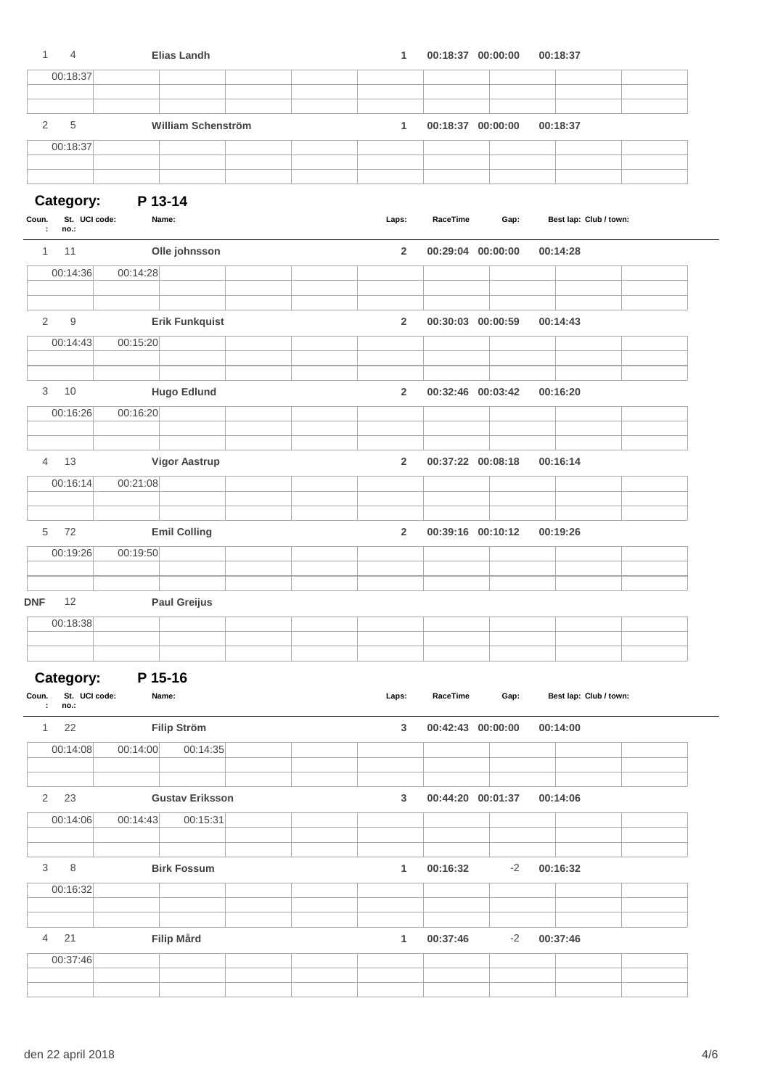| $\mathbf{1}$<br>$\overline{4}$      | <b>Elias Landh</b>     | 1                       | 00:18:37 00:00:00 | 00:18:37               |  |
|-------------------------------------|------------------------|-------------------------|-------------------|------------------------|--|
| 00:18:37                            |                        |                         |                   |                        |  |
|                                     |                        |                         |                   |                        |  |
| 2<br>5                              | William Schenström     | $\mathbf{1}$            | 00:18:37 00:00:00 | 00:18:37               |  |
| 00:18:37                            |                        |                         |                   |                        |  |
|                                     |                        |                         |                   |                        |  |
| Category:                           | P 13-14                |                         |                   |                        |  |
| St. UCI code:<br>Coun.              | Name:                  | Laps:                   | RaceTime<br>Gap:  | Best lap: Club / town: |  |
| no.:<br>÷                           |                        |                         |                   |                        |  |
| 1<br>11                             | Olle johnsson          | $\overline{2}$          | 00:29:04 00:00:00 | 00:14:28               |  |
| 00:14:36                            | 00:14:28               |                         |                   |                        |  |
| 2<br>$9\,$                          | <b>Erik Funkquist</b>  | $\overline{\mathbf{2}}$ | 00:30:03 00:00:59 | 00:14:43               |  |
| 00:14:43                            | 00:15:20               |                         |                   |                        |  |
|                                     |                        |                         |                   |                        |  |
| 10<br>3                             | <b>Hugo Edlund</b>     | $\overline{2}$          | 00:32:46 00:03:42 | 00:16:20               |  |
| 00:16:26                            | 00:16:20               |                         |                   |                        |  |
|                                     |                        |                         |                   |                        |  |
| 13<br>4                             | <b>Vigor Aastrup</b>   | $\overline{\mathbf{2}}$ | 00:37:22 00:08:18 | 00:16:14               |  |
| 00:16:14                            | 00:21:08               |                         |                   |                        |  |
| 5<br>72                             | <b>Emil Colling</b>    | $\overline{\mathbf{2}}$ | 00:39:16 00:10:12 | 00:19:26               |  |
| 00:19:26                            | 00:19:50               |                         |                   |                        |  |
|                                     |                        |                         |                   |                        |  |
| <b>DNF</b><br>12                    | <b>Paul Greijus</b>    |                         |                   |                        |  |
| 00:18:38                            |                        |                         |                   |                        |  |
|                                     |                        |                         |                   |                        |  |
| Category:                           | P 15-16                |                         |                   |                        |  |
| St. UCI code:<br>Coun.<br>no.:<br>÷ | Name:                  | Laps:                   | RaceTime<br>Gap:  | Best lap: Club / town: |  |
| 22<br>1                             | <b>Filip Ström</b>     | $\mathbf{3}$            | 00:42:43 00:00:00 | 00:14:00               |  |
| 00:14:08                            | 00:14:00<br>00:14:35   |                         |                   |                        |  |
| $\overline{2}$<br>23                | <b>Gustav Eriksson</b> | 3                       | 00:44:20 00:01:37 | 00:14:06               |  |
| 00:14:06                            | 00:14:43<br>00:15:31   |                         |                   |                        |  |
| 3<br>$\,8\,$                        | <b>Birk Fossum</b>     | $\mathbf{1}$            | 00:16:32          | $-2$<br>00:16:32       |  |
| 00:16:32                            |                        |                         |                   |                        |  |
|                                     |                        |                         |                   |                        |  |
| 21<br>4                             | <b>Filip Mård</b>      | 1                       | 00:37:46          | 00:37:46<br>$-2$       |  |
| 00:37:46                            |                        |                         |                   |                        |  |
|                                     |                        |                         |                   |                        |  |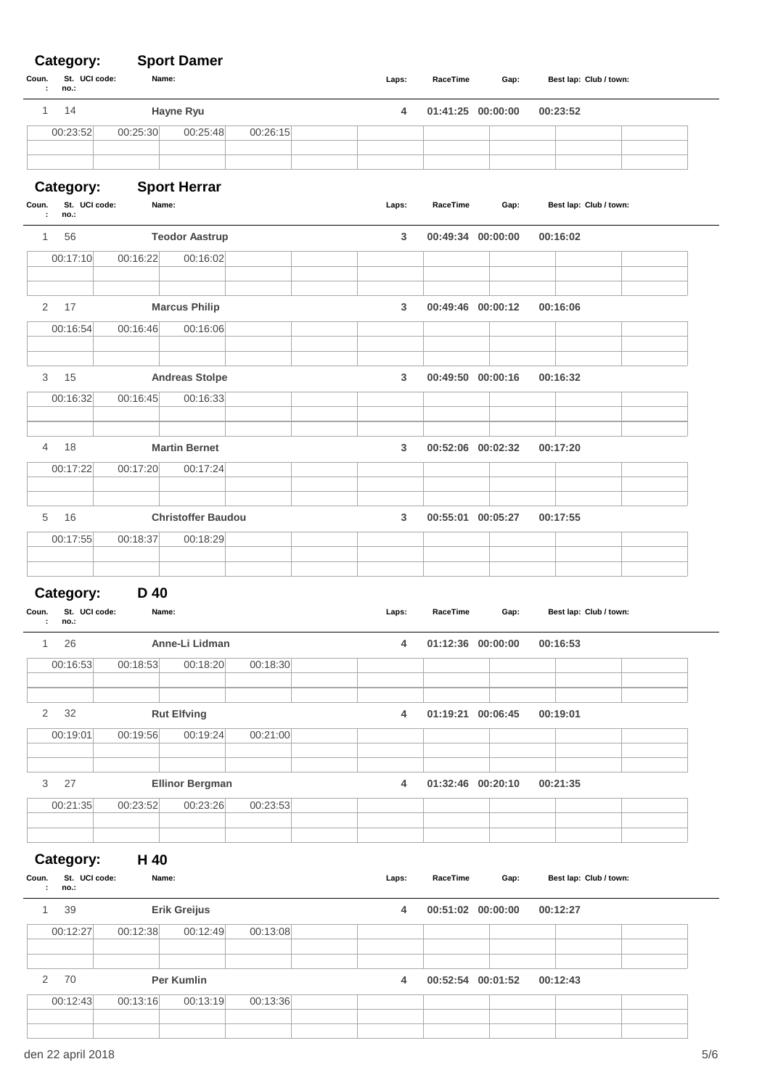## **Category: Sport Damer**

| Coun.<br>St. UCI code:<br>÷<br>no.:              |           | Name:                     |          |   | Laps:             | RaceTime          | Gap:              | Best lap: Club / town: |  |
|--------------------------------------------------|-----------|---------------------------|----------|---|-------------------|-------------------|-------------------|------------------------|--|
| 14<br>1                                          | Hayne Ryu |                           |          | 4 | 01:41:25 00:00:00 |                   | 00:23:52          |                        |  |
| 00:23:52                                         | 00:25:30  | 00:25:48                  | 00:26:15 |   |                   |                   |                   |                        |  |
| Category:                                        |           | <b>Sport Herrar</b>       |          |   |                   |                   |                   |                        |  |
| St. UCI code:<br>Coun.<br>÷<br>no.:              |           | Name:                     |          |   | Laps:             | RaceTime          | Gap:              | Best lap: Club / town: |  |
| 56<br>$\mathbf{1}$                               |           | <b>Teodor Aastrup</b>     |          |   | 3                 | 00:49:34 00:00:00 |                   | 00:16:02               |  |
| 00:17:10                                         | 00:16:22  | 00:16:02                  |          |   |                   |                   |                   |                        |  |
| 2<br>17                                          |           | <b>Marcus Philip</b>      |          |   | 3                 | 00:49:46 00:00:12 |                   | 00:16:06               |  |
| 00:16:54                                         | 00:16:46  | 00:16:06                  |          |   |                   |                   |                   |                        |  |
|                                                  |           |                           |          |   |                   |                   |                   |                        |  |
| 15<br>3                                          |           | <b>Andreas Stolpe</b>     |          |   | 3                 | 00:49:50 00:00:16 |                   | 00:16:32               |  |
| 00:16:32                                         | 00:16:45  | 00:16:33                  |          |   |                   |                   |                   |                        |  |
| 4<br>18                                          |           | <b>Martin Bernet</b>      |          |   | 3                 | 00:52:06 00:02:32 |                   | 00:17:20               |  |
| 00:17:22                                         | 00:17:20  | 00:17:24                  |          |   |                   |                   |                   |                        |  |
|                                                  |           |                           |          |   |                   |                   |                   |                        |  |
| 16<br>5                                          |           | <b>Christoffer Baudou</b> |          |   | 3                 | 00:55:01 00:05:27 |                   | 00:17:55               |  |
| 00:17:55                                         | 00:18:37  | 00:18:29                  |          |   |                   |                   |                   |                        |  |
|                                                  |           |                           |          |   |                   |                   |                   |                        |  |
| Category:                                        | D 40      |                           |          |   |                   |                   |                   |                        |  |
| Coun.<br>St. UCI code:<br>no.:<br>÷              |           | Name:                     |          |   | Laps:             | RaceTime          | Gap:              | Best lap: Club / town: |  |
| 26<br>1                                          |           | Anne-Li Lidman            |          |   | 4                 | 01:12:36 00:00:00 |                   | 00:16:53               |  |
| 00:16:53                                         | 00:18:53  | 00:18:20                  | 00:18:30 |   |                   |                   |                   |                        |  |
|                                                  |           |                           |          |   |                   |                   |                   |                        |  |
| $\overline{2}$<br>32                             |           | <b>Rut Elfving</b>        |          |   | 4                 | 01:19:21 00:06:45 |                   | 00:19:01               |  |
| 00:19:01                                         | 00:19:56  | 00:19:24                  | 00:21:00 |   |                   |                   |                   |                        |  |
| 3<br>27                                          |           | <b>Ellinor Bergman</b>    |          |   | 4                 | 01:32:46 00:20:10 |                   | 00:21:35               |  |
| 00:21:35                                         | 00:23:52  | 00:23:26                  | 00:23:53 |   |                   |                   |                   |                        |  |
|                                                  |           |                           |          |   |                   |                   |                   |                        |  |
|                                                  | H 40      |                           |          |   |                   |                   |                   |                        |  |
| Category:<br>St. UCI code:<br>Coun.<br>no.:<br>÷ |           | Name:                     |          |   | Laps:             | RaceTime          | Gap:              | Best lap: Club / town: |  |
| $\mathbf{1}$<br>39                               |           | Erik Greijus              |          |   | 4                 | 00:51:02 00:00:00 |                   | 00:12:27               |  |
| 00:12:27                                         | 00:12:38  | 00:12:49                  | 00:13:08 |   |                   |                   |                   |                        |  |
|                                                  |           |                           |          |   |                   |                   |                   |                        |  |
| 70<br>$\overline{2}$                             |           | Per Kumlin                |          |   | $\overline{4}$    |                   | 00:52:54 00:01:52 | 00:12:43               |  |
| 00:12:43                                         | 00:13:16  | 00:13:19                  | 00:13:36 |   |                   |                   |                   |                        |  |
|                                                  |           |                           |          |   |                   |                   |                   |                        |  |